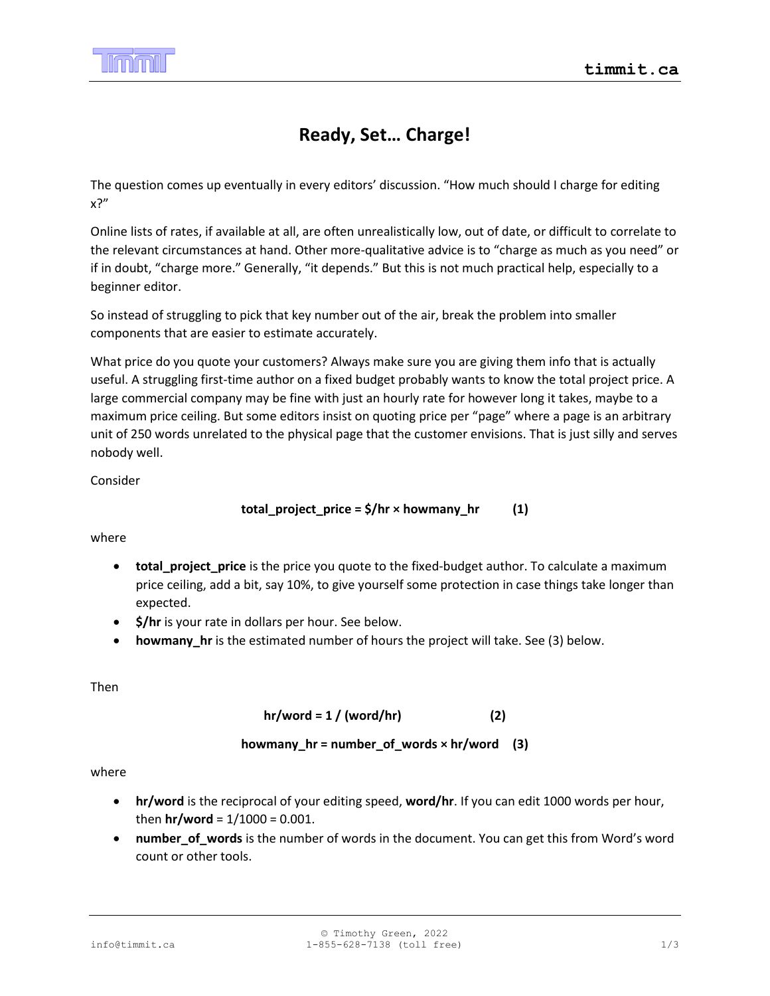

## **Ready, Set… Charge!**

The question comes up eventually in every editors' discussion. "How much should I charge for editing x?"

Online lists of rates, if available at all, are often unrealistically low, out of date, or difficult to correlate to the relevant circumstances at hand. Other more-qualitative advice is to "charge as much as you need" or if in doubt, "charge more." Generally, "it depends." But this is not much practical help, especially to a beginner editor.

So instead of struggling to pick that key number out of the air, break the problem into smaller components that are easier to estimate accurately.

What price do you quote your customers? Always make sure you are giving them info that is actually useful. A struggling first-time author on a fixed budget probably wants to know the total project price. A large commercial company may be fine with just an hourly rate for however long it takes, maybe to a maximum price ceiling. But some editors insist on quoting price per "page" where a page is an arbitrary unit of 250 words unrelated to the physical page that the customer envisions. That is just silly and serves nobody well.

Consider

$$
total\_project\_price = \frac{\xi}{hr} \times \text{howmany\_hr} \tag{1}
$$

where

- **total\_project\_price** is the price you quote to the fixed-budget author. To calculate a maximum price ceiling, add a bit, say 10%, to give yourself some protection in case things take longer than expected.
- **\$/hr** is your rate in dollars per hour. See below.
- **howmany** hr is the estimated number of hours the project will take. See (3) below.

Then

## **hr/word = 1 / (word/hr) (2)**

**howmany\_hr = number\_of\_words × hr/word (3)**

where

- **hr/word** is the reciprocal of your editing speed, **word/hr**. If you can edit 1000 words per hour, then  $hr/word = 1/1000 = 0.001$ .
- **number\_of\_words** is the number of words in the document. You can get this from Word's word count or other tools.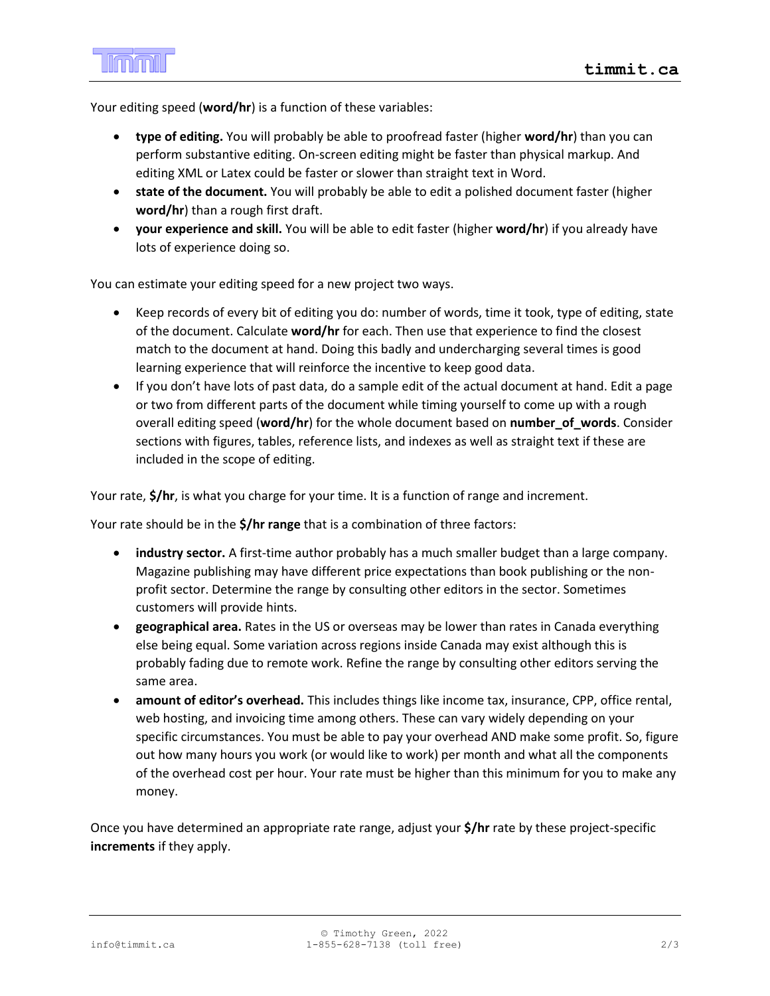Your editing speed (**word/hr**) is a function of these variables:

- **type of editing.** You will probably be able to proofread faster (higher **word/hr**) than you can perform substantive editing. On-screen editing might be faster than physical markup. And editing XML or Latex could be faster or slower than straight text in Word.
- **state of the document.** You will probably be able to edit a polished document faster (higher **word/hr**) than a rough first draft.
- **your experience and skill.** You will be able to edit faster (higher **word/hr**) if you already have lots of experience doing so.

You can estimate your editing speed for a new project two ways.

- Keep records of every bit of editing you do: number of words, time it took, type of editing, state of the document. Calculate **word/hr** for each. Then use that experience to find the closest match to the document at hand. Doing this badly and undercharging several times is good learning experience that will reinforce the incentive to keep good data.
- If you don't have lots of past data, do a sample edit of the actual document at hand. Edit a page or two from different parts of the document while timing yourself to come up with a rough overall editing speed (**word/hr**) for the whole document based on **number\_of\_words**. Consider sections with figures, tables, reference lists, and indexes as well as straight text if these are included in the scope of editing.

Your rate, **\$/hr**, is what you charge for your time. It is a function of range and increment.

Your rate should be in the **\$/hr range** that is a combination of three factors:

- **industry sector.** A first-time author probably has a much smaller budget than a large company. Magazine publishing may have different price expectations than book publishing or the nonprofit sector. Determine the range by consulting other editors in the sector. Sometimes customers will provide hints.
- **geographical area.** Rates in the US or overseas may be lower than rates in Canada everything else being equal. Some variation across regions inside Canada may exist although this is probably fading due to remote work. Refine the range by consulting other editors serving the same area.
- **amount of editor's overhead.** This includes things like income tax, insurance, CPP, office rental, web hosting, and invoicing time among others. These can vary widely depending on your specific circumstances. You must be able to pay your overhead AND make some profit. So, figure out how many hours you work (or would like to work) per month and what all the components of the overhead cost per hour. Your rate must be higher than this minimum for you to make any money.

Once you have determined an appropriate rate range, adjust your **\$/hr** rate by these project-specific **increments** if they apply.